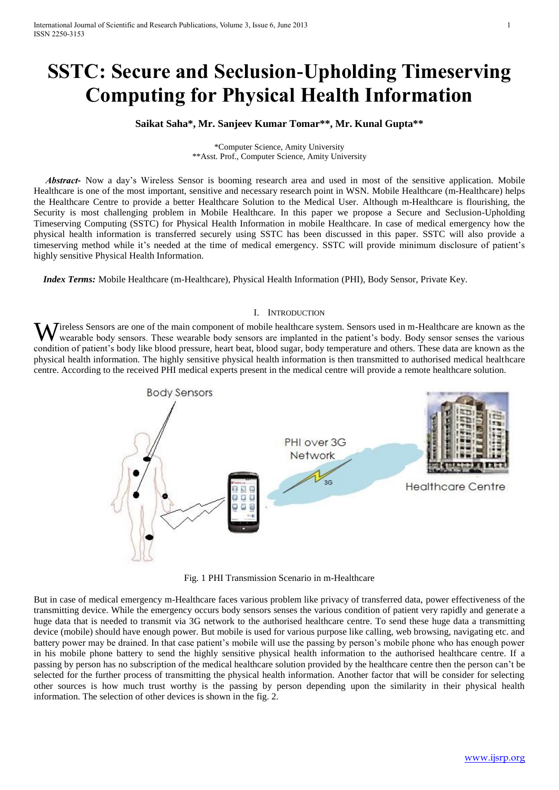# **SSTC: Secure and Seclusion-Upholding Timeserving Computing for Physical Health Information**

## **Saikat Saha\*, Mr. Sanjeev Kumar Tomar\*\*, Mr. Kunal Gupta\*\***

\*Computer Science, Amity University \*\*Asst. Prof., Computer Science, Amity University

 *Abstract***-** Now a day's Wireless Sensor is booming research area and used in most of the sensitive application. Mobile Healthcare is one of the most important, sensitive and necessary research point in WSN. Mobile Healthcare (m-Healthcare) helps the Healthcare Centre to provide a better Healthcare Solution to the Medical User. Although m-Healthcare is flourishing, the Security is most challenging problem in Mobile Healthcare. In this paper we propose a Secure and Seclusion-Upholding Timeserving Computing (SSTC) for Physical Health Information in mobile Healthcare. In case of medical emergency how the physical health information is transferred securely using SSTC has been discussed in this paper. SSTC will also provide a timeserving method while it's needed at the time of medical emergency. SSTC will provide minimum disclosure of patient's highly sensitive Physical Health Information.

 *Index Terms:* Mobile Healthcare (m-Healthcare), Physical Health Information (PHI), Body Sensor, Private Key.

#### I. INTRODUCTION

**J**ireless Sensors are one of the main component of mobile healthcare system. Sensors used in m-Healthcare are known as the wearable body sensors. These wearable body sensors are implanted in the patient's body. Body sensor senses the various Wireless Sensors are one of the main component of mobile healthcare system. Sensors used in m-Healthcare are known as the wearable body sensors. These wearable body sensors are implanted in the patient's body. Body sensor physical health information. The highly sensitive physical health information is then transmitted to authorised medical healthcare centre. According to the received PHI medical experts present in the medical centre will provide a remote healthcare solution.



Fig. 1 PHI Transmission Scenario in m-Healthcare

But in case of medical emergency m-Healthcare faces various problem like privacy of transferred data, power effectiveness of the transmitting device. While the emergency occurs body sensors senses the various condition of patient very rapidly and generate a huge data that is needed to transmit via 3G network to the authorised healthcare centre. To send these huge data a transmitting device (mobile) should have enough power. But mobile is used for various purpose like calling, web browsing, navigating etc. and battery power may be drained. In that case patient's mobile will use the passing by person's mobile phone who has enough power in his mobile phone battery to send the highly sensitive physical health information to the authorised healthcare centre. If a passing by person has no subscription of the medical healthcare solution provided by the healthcare centre then the person can't be selected for the further process of transmitting the physical health information. Another factor that will be consider for selecting other sources is how much trust worthy is the passing by person depending upon the similarity in their physical health information. The selection of other devices is shown in the fig. 2.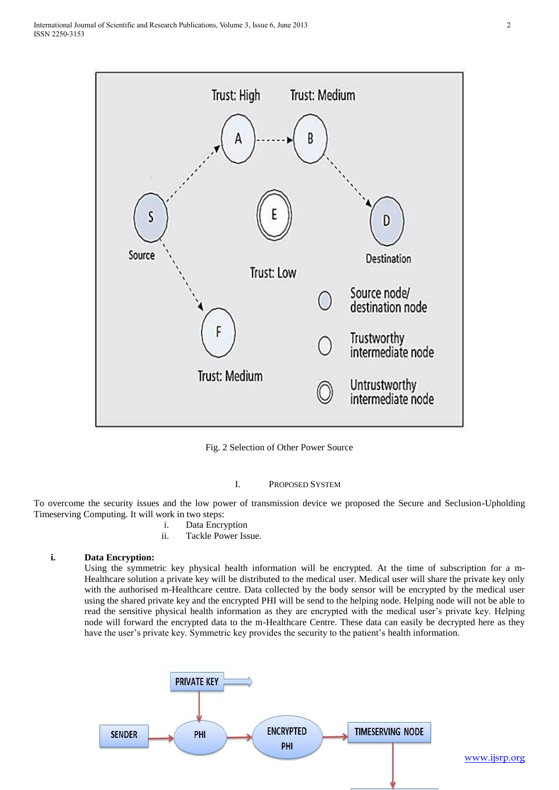

Fig. 2 Selection of Other Power Source

### I. PROPOSED SYSTEM

To overcome the security issues and the low power of transmission device we proposed the Secure and Seclusion-Upholding Timeserving Computing. It will work in two steps:

- i. Data Encryption
- ii. Tackle Power Issue.

### **i. Data Encryption:**

Using the symmetric key physical health information will be encrypted. At the time of subscription for a m-Healthcare solution a private key will be distributed to the medical user. Medical user will share the private key only with the authorised m-Healthcare centre. Data collected by the body sensor will be encrypted by the medical user using the shared private key and the encrypted PHI will be send to the helping node. Helping node will not be able to read the sensitive physical health information as they are encrypted with the medical user's private key. Helping node will forward the encrypted data to the m-Healthcare Centre. These data can easily be decrypted here as they have the user's private key. Symmetric key provides the security to the patient's health information.

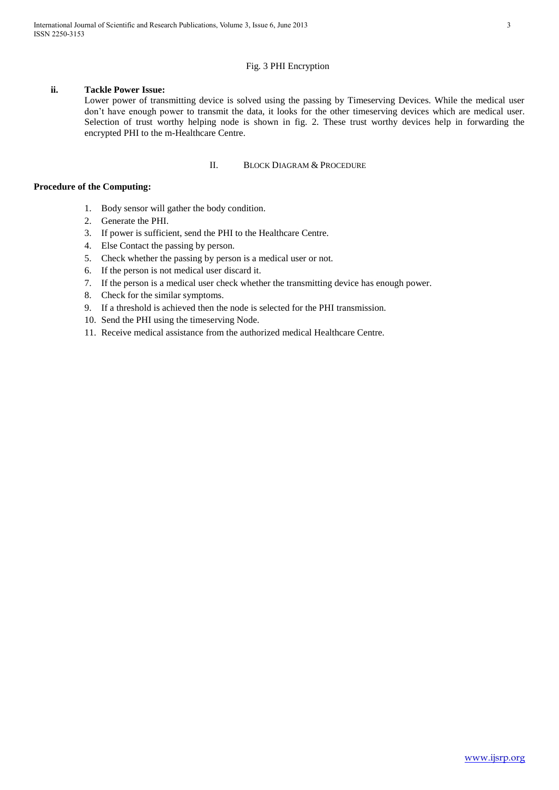## Fig. 3 PHI Encryption

## **ii. Tackle Power Issue:**

Lower power of transmitting device is solved using the passing by Timeserving Devices. While the medical user don't have enough power to transmit the data, it looks for the other timeserving devices which are medical user. Selection of trust worthy helping node is shown in fig. 2. These trust worthy devices help in forwarding the encrypted PHI to the m-Healthcare Centre.

## II. BLOCK DIAGRAM & PROCEDURE

## **Procedure of the Computing:**

- 1. Body sensor will gather the body condition.
- 2. Generate the PHI.
- 3. If power is sufficient, send the PHI to the Healthcare Centre.
- 4. Else Contact the passing by person.
- 5. Check whether the passing by person is a medical user or not.
- 6. If the person is not medical user discard it.
- 7. If the person is a medical user check whether the transmitting device has enough power.
- 8. Check for the similar symptoms.
- 9. If a threshold is achieved then the node is selected for the PHI transmission.
- 10. Send the PHI using the timeserving Node.
- 11. Receive medical assistance from the authorized medical Healthcare Centre.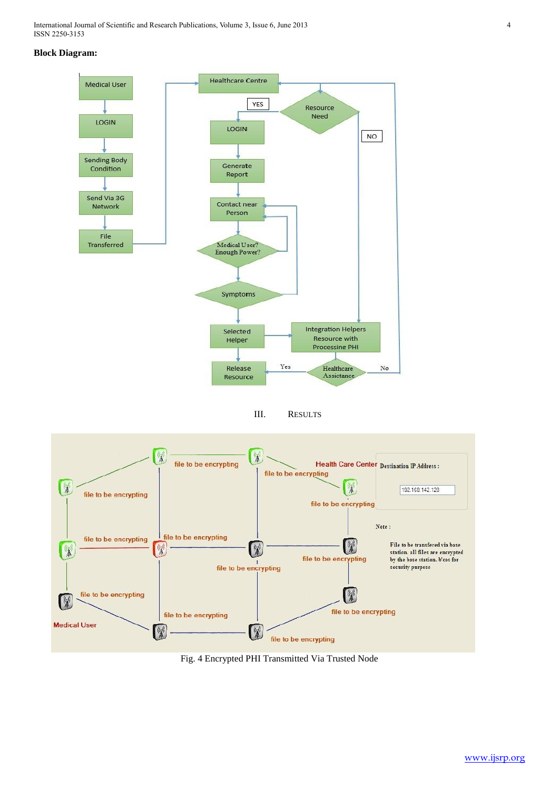International Journal of Scientific and Research Publications, Volume 3, Issue 6, June 2013 4 ISSN 2250-3153

## **Block Diagram:**



III. RESULTS



Fig. 4 Encrypted PHI Transmitted Via Trusted Node